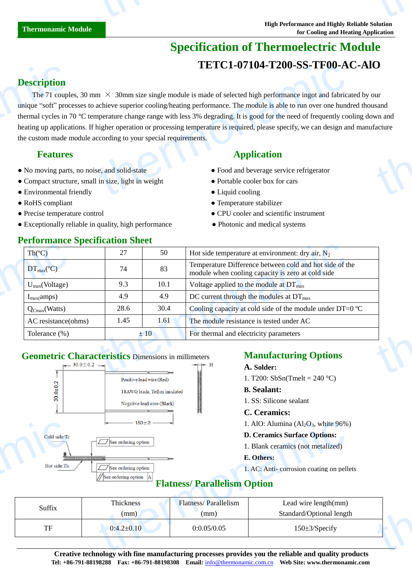# **Specification of Thermoelectric Module TETC1-07104-T200-SS-TF00-AC-AlO**

## **Description**

The 71 couples, 30 mm  $\times$  30mm size single module is made of selected high performance ingot and fabricated by our unique "soft" processes to achieve superior cooling/heating performance. The module is able to run over one hundred thousand thermal cycles in 70 °C temperature change range with less 3% degrading. It is good for the need of frequently cooling down and heating up applications. If higher operation or processing temperature is required, please specify, we can design and manufacture the custom made module according to your special requirements. **Description**<br>The 71 couple<br>unique "soft" proc<br>thermal cycles in 7<br>heating up applica<br>the custom made n<br>**Features**<br>• No moving parts<br>• Compact structu<br>• Environmental f **TETCI-07T04-T200-SS-TF00-A**<br>
m  $\times$  30mm size single module is made of selected high performance ingot and fabrica<br>
achieve superior cooling/heating performance. The module is able to run over one hund<br>
nperature change **thermon**<br>sand<br>facture

- No moving parts, no noise, and solid-state Food and beverage service refrigerator
- Compact structure, small in size, light in weight Portable cooler box for cars
- Environmental friendly **Cooling Cooling Cooling**
- 
- 
- Exceptionally reliable in quality, high performance Photonic and medical systems

## **Performance Specification Sheet**

## **Features** Application **Application**

- 
- 
- 
- RoHS compliant Temperature stabilizer
- Precise temperature control CPU cooler and scientific instrument
	-

| Th(C)                         | 27   | 50   | Hot side temperature at environment: dry air, $N_2$                                                          |  |
|-------------------------------|------|------|--------------------------------------------------------------------------------------------------------------|--|
| $DT_{\text{max}}(\mathbb{C})$ | 74   | 83   | Temperature Difference between cold and hot side of the<br>module when cooling capacity is zero at cold side |  |
| $U_{max}(Voltage)$            | 9.3  | 10.1 | Voltage applied to the module at $DT_{\text{max}}$                                                           |  |
| $I_{max}(amps)$               | 4.9  | 4.9  | DC current through the modules at $DT_{\text{max}}$                                                          |  |
| $Q_{Cmax}(Watts)$             | 28.6 | 30.4 | Cooling capacity at cold side of the module under DT=0 $\mathbb{C}$                                          |  |
| AC resistance(ohms)           | 1.45 | 1.61 | The module resistance is tested under AC                                                                     |  |
| Tolerance $(\%)$              |      | ±10  | For thermal and electricity parameters                                                                       |  |

## **Geometric Characteristics** Dimensions in millimeters **Manufacturing Options**



### **A. Solder:**

1. T200: SbSn(Tmelt = 240 °C)

### **B. Sealant:**

1. SS: Silicone sealant

### **C. Ceramics:**

- 1. AlO: Alumina  $(Al<sub>2</sub>O<sub>3</sub>$ , white 96%)
- **D. Ceramics Surface Options:**
- 1. Blank ceramics (not metalized)

### **E. Others:**

## **Flatness/ Parallelism Option**

|                                    | $-150 \pm 3$ $-$                                                                                                                                   |                                     | 1. AlO: Alumina $(Al_2O_3,$ white 96%)                                                                                             |  |
|------------------------------------|----------------------------------------------------------------------------------------------------------------------------------------------------|-------------------------------------|------------------------------------------------------------------------------------------------------------------------------------|--|
| Cold side:Tc<br>___<br>Hot side:Th | $\Box$ See ordering option<br>de julio (e de de de la julio (e de la<br>$\boxed{\boxed{\phantom{a}}}$ See ordering option<br>See ordering option A | <b>Flatness/Parallelism Option</b>  | <b>D. Ceramics Surface Options:</b><br>1. Blank ceramics (not metalized)<br>E. Others:<br>1. AC: Anti-corrosion coating on pellets |  |
| Suffix                             | Thickness<br>(mm)                                                                                                                                  | <b>Flatness/Parallelism</b><br>(mm) | Lead wire length(mm)<br>Standard/Optional length                                                                                   |  |
| TF                                 | $0:4.2 \pm 0.10$                                                                                                                                   | 0:0.05/0.05                         | $150 \pm 3$ /Specify                                                                                                               |  |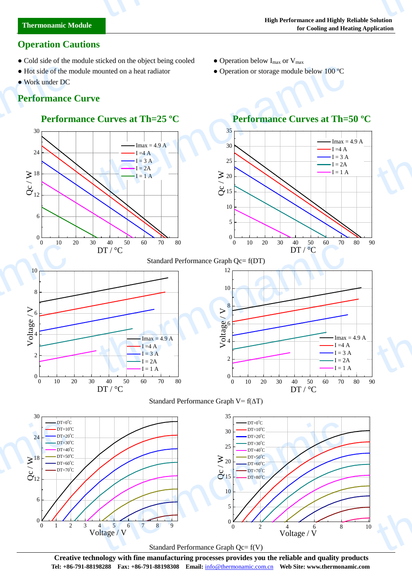## **Operation Cautions**

- Cold side of the module sticked on the object being cooled Operation below  $I_{\text{max}}$  or  $V_{\text{max}}$
- Hot side of the module mounted on a heat radiator Operation or storage module below 100  $\mathbb{C}$
- Work under DC

thermonamic

## **Performance Curve**

## **Performance Curves at Th=25 <sup>°</sup>C Performance Curves at Th=50 <sup>°</sup>C**



Standard Performance Graph Qc= f(V)

**Creative technology with fine manufacturing processes provides you the reliable and quality products Tel: +86-791-88198288 Fax: +86-791-88198308 Email:** info@thermonamic.com.cn **Web Site: www.thermonamic.com**